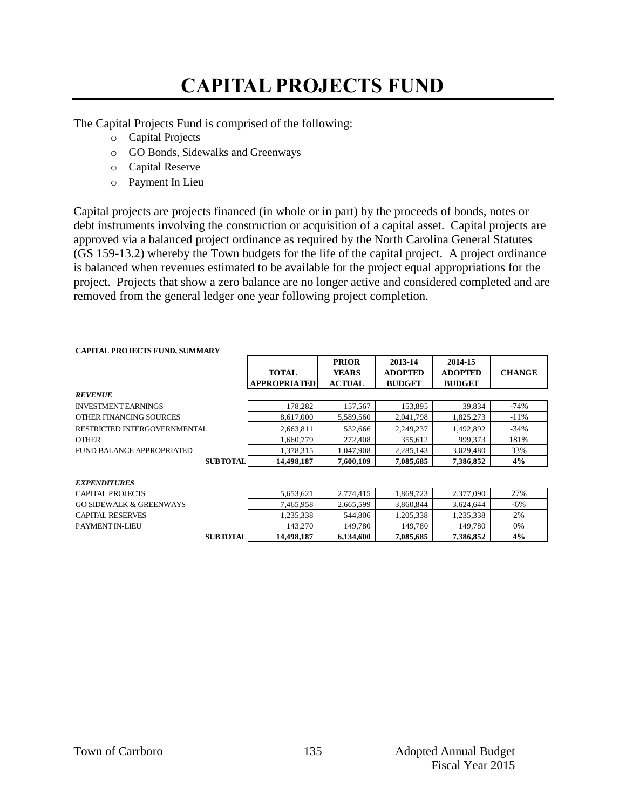# **CAPITAL PROJECTS FUND**

The Capital Projects Fund is comprised of the following:

- o Capital Projects
- o GO Bonds, Sidewalks and Greenways
- o Capital Reserve
- o Payment In Lieu

Capital projects are projects financed (in whole or in part) by the proceeds of bonds, notes or debt instruments involving the construction or acquisition of a capital asset. Capital projects are approved via a balanced project ordinance as required by the North Carolina General Statutes (GS 159-13.2) whereby the Town budgets for the life of the capital project. A project ordinance is balanced when revenues estimated to be available for the project equal appropriations for the project. Projects that show a zero balance are no longer active and considered completed and are removed from the general ledger one year following project completion.

#### **CAPITAL PROJECTS FUND, SUMMARY**

|                                    | <b>TOTAL</b><br><b>APPROPRIATED</b> | <b>PRIOR</b><br><b>YEARS</b><br><b>ACTUAL</b> | 2013-14<br><b>ADOPTED</b><br><b>BUDGET</b> | 2014-15<br><b>ADOPTED</b><br><b>BUDGET</b> | <b>CHANGE</b> |
|------------------------------------|-------------------------------------|-----------------------------------------------|--------------------------------------------|--------------------------------------------|---------------|
| <b>REVENUE</b>                     |                                     |                                               |                                            |                                            |               |
| <b>INVESTMENT EARNINGS</b>         | 178,282                             | 157,567                                       | 153,895                                    | 39,834                                     | $-74%$        |
| OTHER FINANCING SOURCES            | 8,617,000                           | 5,589,560                                     | 2,041,798                                  | 1,825,273                                  | $-11%$        |
| RESTRICTED INTERGOVERNMENTAL       | 2,663,811                           | 532,666                                       | 2,249,237                                  | 1,492,892                                  | $-34%$        |
| <b>OTHER</b>                       | 1,660,779                           | 272,408                                       | 355,612                                    | 999,373                                    | 181%          |
| FUND BALANCE APPROPRIATED          | 1,378,315                           | 1.047.908                                     | 2,285,143                                  | 3,029,480                                  | 33%           |
| <b>SUBTOTAL</b>                    | 14,498,187                          | 7,600,109                                     | 7,085,685                                  | 7,386,852                                  | 4%            |
| <b>EXPENDITURES</b>                |                                     |                                               |                                            |                                            |               |
| CAPITAL PROJECTS                   | 5,653,621                           | 2,774,415                                     | 1,869,723                                  | 2,377,090                                  | 27%           |
| <b>GO SIDEWALK &amp; GREENWAYS</b> | 7.465.958                           | 2.665.599                                     | 3.860.844                                  | 3.624.644                                  | $-6\%$        |
| <b>CAPITAL RESERVES</b>            | 1,235,338                           | 544,806                                       | 1,205,338                                  | 1,235,338                                  | 2%            |

PAYMENT IN-LIEU <br>
SUBTOTAL 14498.187 6.134.600 7.085.685 7.386.852 4%

**SUBTOTAL 14,498,187 6,134,600 7,085,685 7,386,852 4%**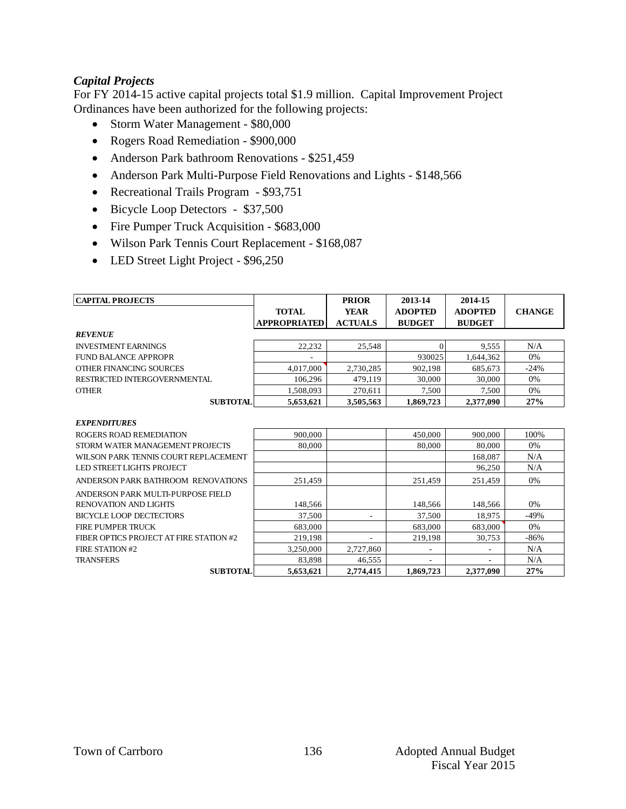### *Capital Projects*

For FY 2014-15 active capital projects total \$1.9 million. Capital Improvement Project Ordinances have been authorized for the following projects:

- Storm Water Management \$80,000
- Rogers Road Remediation \$900,000
- Anderson Park bathroom Renovations \$251,459
- Anderson Park Multi-Purpose Field Renovations and Lights \$148,566
- Recreational Trails Program \$93,751
- Bicycle Loop Detectors \$37,500
- Fire Pumper Truck Acquisition \$683,000
- Wilson Park Tennis Court Replacement \$168,087
- LED Street Light Project \$96,250

| <b>CAPITAL PROJECTS</b>                 |              | <b>PRIOR</b>             | 2013-14                  | 2014-15        |               |
|-----------------------------------------|--------------|--------------------------|--------------------------|----------------|---------------|
|                                         | <b>TOTAL</b> | <b>YEAR</b>              | <b>ADOPTED</b>           | <b>ADOPTED</b> | <b>CHANGE</b> |
|                                         | APPROPRIATED | <b>ACTUALS</b>           | <b>BUDGET</b>            | <b>BUDGET</b>  |               |
| <b>REVENUE</b>                          |              |                          |                          |                |               |
| <b>INVESTMENT EARNINGS</b>              | 22,232       | 25,548                   | $\Omega$                 | 9,555          | N/A           |
| FUND BALANCE APPROPR                    |              |                          | 930025                   | 1,644,362      | 0%            |
| OTHER FINANCING SOURCES                 | 4.017.000    | 2.730.285                | 902.198                  | 685.673        | $-24%$        |
| RESTRICTED INTERGOVERNMENTAL            | 106,296      | 479.119                  | 30,000                   | 30,000         | 0%            |
| <b>OTHER</b>                            | 1,508,093    | 270,611                  | 7,500                    | 7,500          | 0%            |
| <b>SUBTOTAL</b>                         | 5,653,621    | 3,505,563                | 1.869.723                | 2.377.090      | 27%           |
| <b>EXPENDITURES</b>                     |              |                          |                          |                |               |
| ROGERS ROAD REMEDIATION                 | 900,000      |                          | 450,000                  | 900,000        | 100%          |
| STORM WATER MANAGEMENT PROJECTS         | 80,000       |                          | 80,000                   | 80,000         | 0%            |
| WILSON PARK TENNIS COURT REPLACEMENT    |              |                          |                          | 168,087        | N/A           |
| <b>LED STREET LIGHTS PROJECT</b>        |              |                          |                          | 96.250         | N/A           |
| ANDERSON PARK BATHROOM RENOVATIONS      | 251,459      |                          | 251,459                  | 251,459        | 0%            |
| ANDERSON PARK MULTI-PURPOSE FIELD       |              |                          |                          |                |               |
| <b>RENOVATION AND LIGHTS</b>            | 148,566      |                          | 148,566                  | 148,566        | 0%            |
| <b>BICYCLE LOOP DECTECTORS</b>          | 37.500       | $\overline{\phantom{a}}$ | 37.500                   | 18,975         | $-49%$        |
| FIRE PUMPER TRUCK                       | 683,000      |                          | 683,000                  | 683,000        | 0%            |
| FIBER OPTICS PROJECT AT FIRE STATION #2 | 219,198      |                          | 219,198                  | 30,753         | $-86%$        |
| <b>FIRE STATION #2</b>                  | 3,250,000    | 2,727,860                | $\overline{\phantom{a}}$ |                | N/A           |
| <b>TRANSFERS</b>                        | 83.898       | 46.555                   |                          |                | N/A           |
| <b>SUBTOTAL</b>                         | 5.653.621    | 2.774.415                | 1.869.723                | 2.377,090      | 27%           |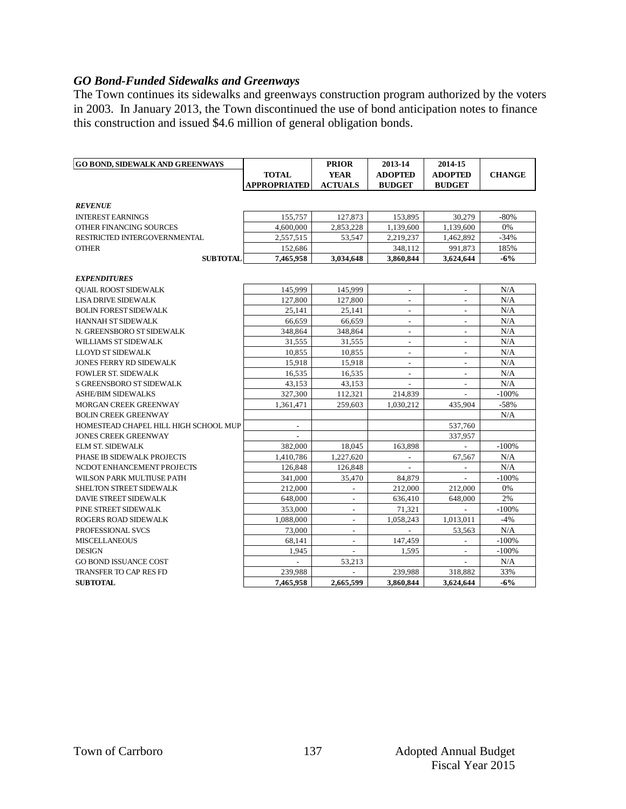### *GO Bond-Funded Sidewalks and Greenways*

The Town continues its sidewalks and greenways construction program authorized by the voters in 2003. In January 2013, the Town discontinued the use of bond anticipation notes to finance this construction and issued \$4.6 million of general obligation bonds.

| <b>GO BOND, SIDEWALK AND GREENWAYS</b> |                          | <b>PRIOR</b>             | 2013-14                  | 2014-15                  |               |
|----------------------------------------|--------------------------|--------------------------|--------------------------|--------------------------|---------------|
|                                        | <b>TOTAL</b>             | <b>YEAR</b>              | <b>ADOPTED</b>           | <b>ADOPTED</b>           | <b>CHANGE</b> |
|                                        | <b>APPROPRIATED</b>      | <b>ACTUALS</b>           | <b>BUDGET</b>            | <b>BUDGET</b>            |               |
|                                        |                          |                          |                          |                          |               |
| <b>REVENUE</b>                         |                          |                          |                          |                          |               |
| <b>INTEREST EARNINGS</b>               | 155,757                  | 127,873                  | 153,895                  | 30,279                   | $-80%$        |
| OTHER FINANCING SOURCES                | 4,600,000                | 2,853,228                | 1,139,600                | 1,139,600                | 0%            |
| RESTRICTED INTERGOVERNMENTAL           | 2,557,515                | 53,547                   | 2,219,237                | 1.462.892                | $-34%$        |
| <b>OTHER</b>                           | 152,686                  |                          | 348,112                  | 991,873                  | 185%          |
| <b>SUBTOTAL</b>                        | 7,465,958                | 3,034,648                | 3,860,844                | 3,624,644                | $-6%$         |
|                                        |                          |                          |                          |                          |               |
| <b>EXPENDITURES</b>                    |                          |                          |                          |                          |               |
| <b>OUAIL ROOST SIDEWALK</b>            | 145,999                  | 145,999                  | $\overline{a}$           |                          | N/A           |
| <b>LISA DRIVE SIDEWALK</b>             | 127,800                  | 127,800                  | $\overline{\phantom{a}}$ | $\overline{\phantom{a}}$ | N/A           |
| <b>BOLIN FOREST SIDEWALK</b>           | 25.141                   | 25.141                   | $\overline{\phantom{a}}$ | $\overline{\phantom{a}}$ | N/A           |
| <b>HANNAH ST SIDEWALK</b>              | 66,659                   | 66,659                   | $\overline{\phantom{a}}$ | $\overline{\phantom{a}}$ | N/A           |
| N. GREENSBORO ST SIDEWALK              | 348,864                  | 348,864                  | $\overline{\phantom{a}}$ | $\sim$                   | N/A           |
| WILLIAMS ST SIDEWALK                   | 31,555                   | 31,555                   | $\overline{a}$           | $\overline{a}$           | N/A           |
| <b>LLOYD ST SIDEWALK</b>               | 10,855                   | 10,855                   |                          |                          | N/A           |
| <b>JONES FERRY RD SIDEWALK</b>         | 15,918                   | 15,918                   | $\overline{\phantom{a}}$ | $\overline{\phantom{a}}$ | N/A           |
| <b>FOWLER ST. SIDEWALK</b>             | 16,535                   | 16,535                   | $\overline{\phantom{a}}$ | $\overline{\phantom{a}}$ | N/A           |
| <b>S GREENSBORO ST SIDEWALK</b>        | 43,153                   | 43,153                   |                          | $\frac{1}{2}$            | N/A           |
| <b>ASHE/BIM SIDEWALKS</b>              | 327,300                  | 112,321                  | 214,839                  |                          | $-100%$       |
| MORGAN CREEK GREENWAY                  | 1,361,471                | 259,603                  | 1,030,212                | 435,904                  | $-58%$        |
| <b>BOLIN CREEK GREENWAY</b>            |                          |                          |                          |                          | N/A           |
| HOMESTEAD CHAPEL HILL HIGH SCHOOL MUP  | $\overline{\phantom{a}}$ |                          |                          | 537,760                  |               |
| <b>JONES CREEK GREENWAY</b>            |                          |                          |                          | 337,957                  |               |
| <b>ELM ST. SIDEWALK</b>                | 382,000                  | 18,045                   | 163,898                  |                          | $-100%$       |
| PHASE IB SIDEWALK PROJECTS             | 1,410,786                | 1,227,620                | $\blacksquare$           | 67,567                   | N/A           |
| NCDOT ENHANCEMENT PROJECTS             | 126,848                  | 126,848                  |                          |                          | N/A           |
| WILSON PARK MULTIUSE PATH              | 341,000                  | 35,470                   | 84,879                   | ÷                        | $-100%$       |
| <b>SHELTON STREET SIDEWALK</b>         | 212,000                  | $\overline{\phantom{a}}$ | 212,000                  | 212,000                  | 0%            |
| <b>DAVIE STREET SIDEWALK</b>           | 648,000                  | $\overline{\phantom{a}}$ | 636,410                  | 648,000                  | 2%            |
| PINE STREET SIDEWALK                   | 353,000                  |                          | 71,321                   |                          | $-100%$       |
| <b>ROGERS ROAD SIDEWALK</b>            | 1,088,000                | ٠                        | 1,058,243                | 1,013,011                | $-4%$         |
| <b>PROFESSIONAL SVCS</b>               | 73,000                   | ÷.                       |                          | 53,563                   | N/A           |
| <b>MISCELLANEOUS</b>                   | 68.141                   | $\overline{\phantom{a}}$ | 147.459                  | $\overline{\phantom{a}}$ | $-100%$       |
| <b>DESIGN</b>                          | 1,945                    |                          | 1,595                    | $\overline{\phantom{a}}$ | $-100%$       |
| <b>GO BOND ISSUANCE COST</b>           |                          | 53,213                   |                          |                          | N/A           |
| <b>TRANSFER TO CAP RES FD</b>          | 239,988                  |                          | 239,988                  | 318,882                  | 33%           |
| <b>SUBTOTAL</b>                        | 7,465,958                | 2,665,599                | 3,860,844                | 3.624.644                | $-6%$         |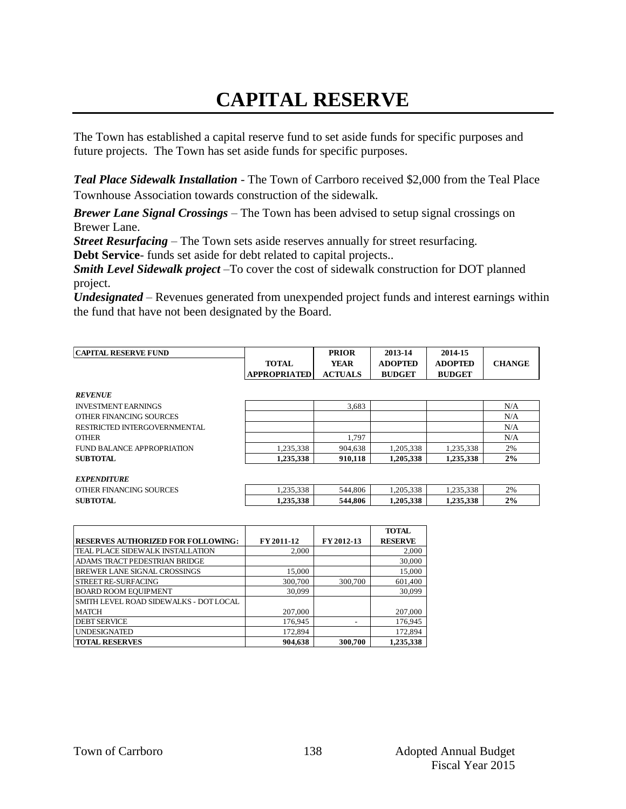# **CAPITAL RESERVE**

The Town has established a capital reserve fund to set aside funds for specific purposes and future projects. The Town has set aside funds for specific purposes.

*Teal Place Sidewalk Installation -* The Town of Carrboro received \$2,000 from the Teal Place Townhouse Association towards construction of the sidewalk*.*

*Brewer Lane Signal Crossings –* The Town has been advised to setup signal crossings on Brewer Lane.

*Street Resurfacing* – The Town sets aside reserves annually for street resurfacing.

**Debt Service**- funds set aside for debt related to capital projects..

*Smith Level Sidewalk project –*To cover the cost of sidewalk construction for DOT planned project.

*Undesignated* – Revenues generated from unexpended project funds and interest earnings within the fund that have not been designated by the Board.

| <b>CAPITAL RESERVE FUND</b>  |                     | <b>PRIOR</b>   | 2013-14        | 2014-15        |               |
|------------------------------|---------------------|----------------|----------------|----------------|---------------|
|                              | <b>TOTAL</b>        | <b>YEAR</b>    | <b>ADOPTED</b> | <b>ADOPTED</b> | <b>CHANGE</b> |
|                              | <b>APPROPRIATED</b> | <b>ACTUALS</b> | <b>BUDGET</b>  | <b>BUDGET</b>  |               |
|                              |                     |                |                |                |               |
| <b>REVENUE</b>               |                     |                |                |                |               |
| <b>INVESTMENT EARNINGS</b>   |                     | 3,683          |                |                | N/A           |
| OTHER FINANCING SOURCES      |                     |                |                |                | N/A           |
| RESTRICTED INTERGOVERNMENTAL |                     |                |                |                | N/A           |
| <b>OTHER</b>                 |                     | 1.797          |                |                | N/A           |
| FUND BALANCE APPROPRIATION   | 1,235,338           | 904.638        | 1,205,338      | 1.235.338      | 2%            |
| <b>SUBTOTAL</b>              | 1.235.338           | 910.118        | 1,205,338      | 1,235,338      | 2%            |
|                              |                     |                |                |                |               |
| <b>EXPENDITURE</b>           |                     |                |                |                |               |
| OTHER FINANCING SOURCES      | 1,235,338           | 544,806        | 1,205,338      | 1,235,338      | 2%            |
| <b>SUBTOTAL</b>              | 1.235.338           | 544,806        | 1.205.338      | 1.235.338      | 2%            |

|                                           |            |            | <b>TOTAL</b>   |
|-------------------------------------------|------------|------------|----------------|
| <b>RESERVES AUTHORIZED FOR FOLLOWING:</b> | FY 2011-12 | FY 2012-13 | <b>RESERVE</b> |
| TEAL PLACE SIDEWALK INSTALLATION          | 2,000      |            | 2,000          |
| ADAMS TRACT PEDESTRIAN BRIDGE             |            |            | 30,000         |
| <b>BREWER LANE SIGNAL CROSSINGS</b>       | 15,000     |            | 15,000         |
| <b>STREET RE-SURFACING</b>                | 300,700    | 300,700    | 601,400        |
| <b>BOARD ROOM EQUIPMENT</b>               | 30,099     |            | 30,099         |
| SMITH LEVEL ROAD SIDEWALKS - DOT LOCAL    |            |            |                |
| <b>MATCH</b>                              | 207,000    |            | 207,000        |
| <b>DEBT SERVICE</b>                       | 176,945    |            | 176,945        |
| <b>UNDESIGNATED</b>                       | 172,894    |            | 172,894        |
| <b>TOTAL RESERVES</b>                     | 904,638    | 300,700    | 1,235,338      |